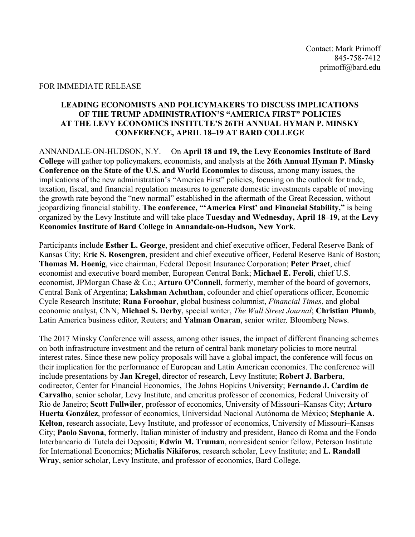## FOR IMMEDIATE RELEASE

## **LEADING ECONOMISTS AND POLICYMAKERS TO DISCUSS IMPLICATIONS OF THE TRUMP ADMINISTRATION'S "AMERICA FIRST" POLICIES AT THE LEVY ECONOMICS INSTITUTE'S 26TH ANNUAL HYMAN P. MINSKY CONFERENCE, APRIL 18–19 AT BARD COLLEGE**

ANNANDALE-ON-HUDSON, N.Y.— On **April 18 and 19, the Levy Economics Institute of Bard College** will gather top policymakers, economists, and analysts at the **26th Annual Hyman P. Minsky Conference on the State of the U.S. and World Economies** to discuss, among many issues, the implications of the new administration's "America First" policies, focusing on the outlook for trade, taxation, fiscal, and financial regulation measures to generate domestic investments capable of moving the growth rate beyond the "new normal" established in the aftermath of the Great Recession, without jeopardizing financial stability. **The conference, "'America First' and Financial Stability,"** is being organized by the Levy Institute and will take place **Tuesday and Wednesday, April 18–19,** at the **Levy Economics Institute of Bard College in Annandale-on-Hudson, New York**.

Participants include **Esther L. George**, president and chief executive officer, Federal Reserve Bank of Kansas City; **Eric S. Rosengren**, president and chief executive officer, Federal Reserve Bank of Boston; **Thomas M. Hoenig**, vice chairman, Federal Deposit Insurance Corporation; **Peter Praet**, chief economist and executive board member, European Central Bank; **Michael E. Feroli**, chief U.S. economist, JPMorgan Chase & Co.; **Arturo O'Connell**, formerly, member of the board of governors, Central Bank of Argentina; **Lakshman Achuthan**, cofounder and chief operations officer, Economic Cycle Research Institute; **Rana Foroohar**, global business columnist, *Financial Times*, and global economic analyst, CNN; **Michael S. Derby**, special writer, *The Wall Street Journal*; **Christian Plumb**, Latin America business editor, Reuters; and **Yalman Onaran**, senior writer*,* Bloomberg News.

The 2017 Minsky Conference will assess, among other issues, the impact of different financing schemes on both infrastructure investment and the return of central bank monetary policies to more neutral interest rates. Since these new policy proposals will have a global impact, the conference will focus on their implication for the performance of European and Latin American economies. The conference will include presentations by **Jan Kregel**, director of research, Levy Institute; **Robert J. Barbera**, codirector, Center for Financial Economics, The Johns Hopkins University; **Fernando J. Cardim de Carvalho**, senior scholar, Levy Institute, and emeritus professor of economics, Federal University of Rio de Janeiro; **Scott Fullwiler**, professor of economics, University of Missouri–Kansas City; **Arturo Huerta González**, professor of economics, Universidad Nacional Autónoma de México; **Stephanie A. Kelton**, research associate, Levy Institute, and professor of economics, University of Missouri–Kansas City; **Paolo Savona**, formerly, Italian minister of industry and president, Banco di Roma and the Fondo Interbancario di Tutela dei Depositi; **Edwin M. Truman**, nonresident senior fellow, Peterson Institute for International Economics; **Michalis Nikiforos**, research scholar, Levy Institute; and **L. Randall Wray**, senior scholar, Levy Institute, and professor of economics, Bard College.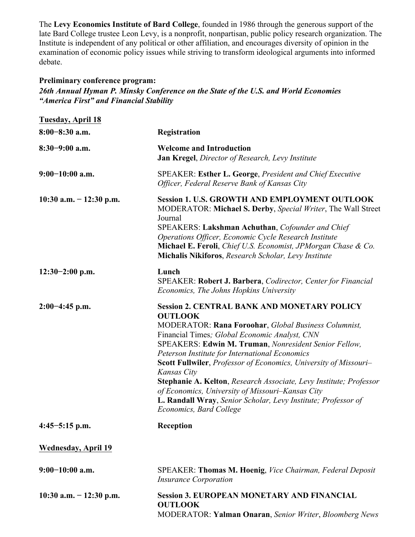The **Levy Economics Institute of Bard College**, founded in 1986 through the generous support of the late Bard College trustee Leon Levy, is a nonprofit, nonpartisan, public policy research organization. The Institute is independent of any political or other affiliation, and encourages diversity of opinion in the examination of economic policy issues while striving to transform ideological arguments into informed debate.

## **Preliminary conference program:**

*26th Annual Hyman P. Minsky Conference on the State of the U.S. and World Economies "America First" and Financial Stability*

| <b>Tuesday, April 18</b>   |                                                                                                                                                                                                                                                                                                                                                                                                                                                                                                                                                                                                   |
|----------------------------|---------------------------------------------------------------------------------------------------------------------------------------------------------------------------------------------------------------------------------------------------------------------------------------------------------------------------------------------------------------------------------------------------------------------------------------------------------------------------------------------------------------------------------------------------------------------------------------------------|
| $8:00-8:30$ a.m.           | Registration                                                                                                                                                                                                                                                                                                                                                                                                                                                                                                                                                                                      |
| $8:30-9:00$ a.m.           | <b>Welcome and Introduction</b><br>Jan Kregel, Director of Research, Levy Institute                                                                                                                                                                                                                                                                                                                                                                                                                                                                                                               |
| $9:00-10:00$ a.m.          | SPEAKER: Esther L. George, President and Chief Executive<br>Officer, Federal Reserve Bank of Kansas City                                                                                                                                                                                                                                                                                                                                                                                                                                                                                          |
| 10:30 a.m. $- 12:30$ p.m.  | <b>Session 1. U.S. GROWTH AND EMPLOYMENT OUTLOOK</b><br>MODERATOR: Michael S. Derby, Special Writer, The Wall Street<br>Journal<br>SPEAKERS: Lakshman Achuthan, Cofounder and Chief<br>Operations Officer, Economic Cycle Research Institute<br>Michael E. Feroli, Chief U.S. Economist, JPMorgan Chase & Co.<br>Michalis Nikiforos, Research Scholar, Levy Institute                                                                                                                                                                                                                             |
| $12:30-2:00$ p.m.          | Lunch<br>SPEAKER: Robert J. Barbera, Codirector, Center for Financial<br>Economics, The Johns Hopkins University                                                                                                                                                                                                                                                                                                                                                                                                                                                                                  |
| $2:00-4:45$ p.m.           | <b>Session 2. CENTRAL BANK AND MONETARY POLICY</b><br><b>OUTLOOK</b><br>MODERATOR: Rana Foroohar, Global Business Columnist,<br>Financial Times; Global Economic Analyst, CNN<br>SPEAKERS: Edwin M. Truman, Nonresident Senior Fellow,<br>Peterson Institute for International Economics<br>Scott Fullwiler, Professor of Economics, University of Missouri-<br>Kansas City<br>Stephanie A. Kelton, Research Associate, Levy Institute; Professor<br>of Economics, University of Missouri-Kansas City<br>L. Randall Wray, Senior Scholar, Levy Institute; Professor of<br>Economics, Bard College |
| $4:45-5:15$ p.m.           | Reception                                                                                                                                                                                                                                                                                                                                                                                                                                                                                                                                                                                         |
| <b>Wednesday, April 19</b> |                                                                                                                                                                                                                                                                                                                                                                                                                                                                                                                                                                                                   |
| $9:00-10:00$ a.m.          | SPEAKER: Thomas M. Hoenig, Vice Chairman, Federal Deposit<br><b>Insurance Corporation</b>                                                                                                                                                                                                                                                                                                                                                                                                                                                                                                         |
| 10:30 a.m. $- 12:30$ p.m.  | <b>Session 3. EUROPEAN MONETARY AND FINANCIAL</b><br><b>OUTLOOK</b><br>MODERATOR: Yalman Onaran, Senior Writer, Bloomberg News                                                                                                                                                                                                                                                                                                                                                                                                                                                                    |